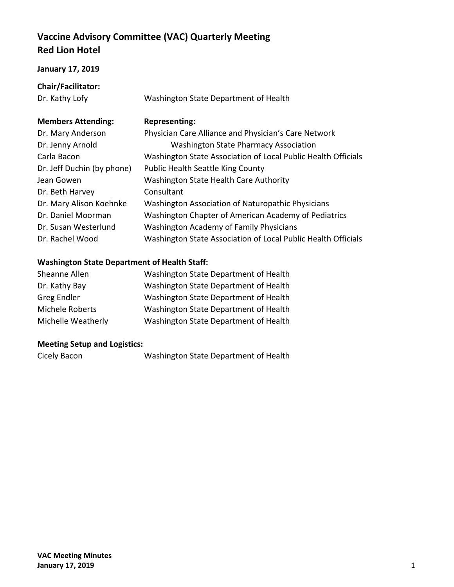# **Vaccine Advisory Committee (VAC) Quarterly Meeting Red Lion Hotel**

### **January 17, 2019**

**Chair/Facilitator:**

Dr. Kathy Lofy Washington State Department of Health

## **Members Attending: Representing:**

| Dr. Mary Anderson          | Physician Care Alliance and Physician's Care Network          |
|----------------------------|---------------------------------------------------------------|
| Dr. Jenny Arnold           | <b>Washington State Pharmacy Association</b>                  |
| Carla Bacon                | Washington State Association of Local Public Health Officials |
| Dr. Jeff Duchin (by phone) | <b>Public Health Seattle King County</b>                      |
| Jean Gowen                 | Washington State Health Care Authority                        |
| Dr. Beth Harvey            | Consultant                                                    |
| Dr. Mary Alison Koehnke    | Washington Association of Naturopathic Physicians             |
| Dr. Daniel Moorman         | Washington Chapter of American Academy of Pediatrics          |
| Dr. Susan Westerlund       | <b>Washington Academy of Family Physicians</b>                |
| Dr. Rachel Wood            | Washington State Association of Local Public Health Officials |

## **Washington State Department of Health Staff:**

| Sheanne Allen      | Washington State Department of Health |
|--------------------|---------------------------------------|
| Dr. Kathy Bay      | Washington State Department of Health |
| <b>Greg Endler</b> | Washington State Department of Health |
| Michele Roberts    | Washington State Department of Health |
| Michelle Weatherly | Washington State Department of Health |

## **Meeting Setup and Logistics:**

Cicely Bacon Washington State Department of Health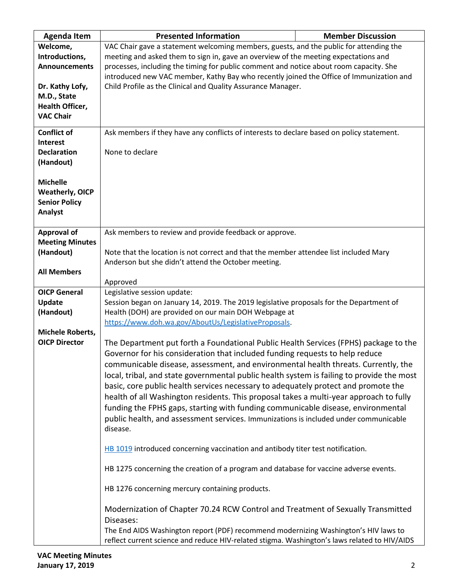| <b>Agenda Item</b>      | <b>Presented Information</b>                                                                 | <b>Member Discussion</b> |
|-------------------------|----------------------------------------------------------------------------------------------|--------------------------|
| Welcome,                | VAC Chair gave a statement welcoming members, guests, and the public for attending the       |                          |
| Introductions,          | meeting and asked them to sign in, gave an overview of the meeting expectations and          |                          |
| <b>Announcements</b>    | processes, including the timing for public comment and notice about room capacity. She       |                          |
|                         | introduced new VAC member, Kathy Bay who recently joined the Office of Immunization and      |                          |
| Dr. Kathy Lofy,         | Child Profile as the Clinical and Quality Assurance Manager.                                 |                          |
| M.D., State             |                                                                                              |                          |
| <b>Health Officer,</b>  |                                                                                              |                          |
| <b>VAC Chair</b>        |                                                                                              |                          |
|                         |                                                                                              |                          |
| <b>Conflict of</b>      | Ask members if they have any conflicts of interests to declare based on policy statement.    |                          |
| Interest                |                                                                                              |                          |
| <b>Declaration</b>      | None to declare                                                                              |                          |
| (Handout)               |                                                                                              |                          |
|                         |                                                                                              |                          |
| <b>Michelle</b>         |                                                                                              |                          |
| <b>Weatherly, OICP</b>  |                                                                                              |                          |
| <b>Senior Policy</b>    |                                                                                              |                          |
| Analyst                 |                                                                                              |                          |
|                         |                                                                                              |                          |
| <b>Approval of</b>      | Ask members to review and provide feedback or approve.                                       |                          |
| <b>Meeting Minutes</b>  |                                                                                              |                          |
| (Handout)               | Note that the location is not correct and that the member attendee list included Mary        |                          |
|                         | Anderson but she didn't attend the October meeting.                                          |                          |
| <b>All Members</b>      |                                                                                              |                          |
|                         | Approved                                                                                     |                          |
| <b>OICP General</b>     | Legislative session update:                                                                  |                          |
| Update                  | Session began on January 14, 2019. The 2019 legislative proposals for the Department of      |                          |
| (Handout)               | Health (DOH) are provided on our main DOH Webpage at                                         |                          |
|                         | https://www.doh.wa.gov/AboutUs/LegislativeProposals.                                         |                          |
| <b>Michele Roberts,</b> |                                                                                              |                          |
| <b>OICP Director</b>    | The Department put forth a Foundational Public Health Services (FPHS) package to the         |                          |
|                         | Governor for his consideration that included funding requests to help reduce                 |                          |
|                         | communicable disease, assessment, and environmental health threats. Currently, the           |                          |
|                         | local, tribal, and state governmental public health system is failing to provide the most    |                          |
|                         | basic, core public health services necessary to adequately protect and promote the           |                          |
|                         | health of all Washington residents. This proposal takes a multi-year approach to fully       |                          |
|                         | funding the FPHS gaps, starting with funding communicable disease, environmental             |                          |
|                         | public health, and assessment services. Immunizations is included under communicable         |                          |
|                         | disease.                                                                                     |                          |
|                         |                                                                                              |                          |
|                         | HB 1019 introduced concerning vaccination and antibody titer test notification.              |                          |
|                         |                                                                                              |                          |
|                         | HB 1275 concerning the creation of a program and database for vaccine adverse events.        |                          |
|                         |                                                                                              |                          |
|                         | HB 1276 concerning mercury containing products.                                              |                          |
|                         |                                                                                              |                          |
|                         | Modernization of Chapter 70.24 RCW Control and Treatment of Sexually Transmitted             |                          |
|                         | Diseases:                                                                                    |                          |
|                         | The End AIDS Washington report (PDF) recommend modernizing Washington's HIV laws to          |                          |
|                         | reflect current science and reduce HIV-related stigma. Washington's laws related to HIV/AIDS |                          |
|                         |                                                                                              |                          |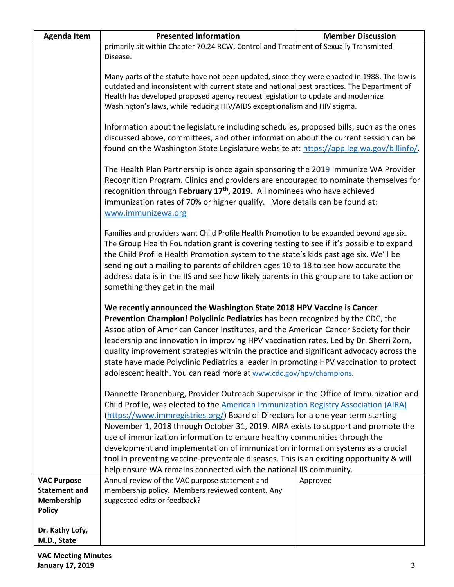| <b>Agenda Item</b>                                                        | <b>Presented Information</b>                                                                                                                                                                                                                                                                                                                                                                                                                                                                                                                                                                                                                                                        | <b>Member Discussion</b> |  |
|---------------------------------------------------------------------------|-------------------------------------------------------------------------------------------------------------------------------------------------------------------------------------------------------------------------------------------------------------------------------------------------------------------------------------------------------------------------------------------------------------------------------------------------------------------------------------------------------------------------------------------------------------------------------------------------------------------------------------------------------------------------------------|--------------------------|--|
|                                                                           | primarily sit within Chapter 70.24 RCW, Control and Treatment of Sexually Transmitted                                                                                                                                                                                                                                                                                                                                                                                                                                                                                                                                                                                               |                          |  |
|                                                                           | Disease.                                                                                                                                                                                                                                                                                                                                                                                                                                                                                                                                                                                                                                                                            |                          |  |
|                                                                           | Many parts of the statute have not been updated, since they were enacted in 1988. The law is<br>outdated and inconsistent with current state and national best practices. The Department of<br>Health has developed proposed agency request legislation to update and modernize<br>Washington's laws, while reducing HIV/AIDS exceptionalism and HIV stigma.                                                                                                                                                                                                                                                                                                                        |                          |  |
|                                                                           | Information about the legislature including schedules, proposed bills, such as the ones<br>discussed above, committees, and other information about the current session can be<br>found on the Washington State Legislature website at: https://app.leg.wa.gov/billinfo/.                                                                                                                                                                                                                                                                                                                                                                                                           |                          |  |
|                                                                           | The Health Plan Partnership is once again sponsoring the 2019 Immunize WA Provider<br>Recognition Program. Clinics and providers are encouraged to nominate themselves for<br>recognition through February 17 <sup>th</sup> , 2019. All nominees who have achieved<br>immunization rates of 70% or higher qualify. More details can be found at:<br>www.immunizewa.org                                                                                                                                                                                                                                                                                                              |                          |  |
|                                                                           | Families and providers want Child Profile Health Promotion to be expanded beyond age six.<br>The Group Health Foundation grant is covering testing to see if it's possible to expand<br>the Child Profile Health Promotion system to the state's kids past age six. We'll be<br>sending out a mailing to parents of children ages 10 to 18 to see how accurate the<br>address data is in the IIS and see how likely parents in this group are to take action on<br>something they get in the mail                                                                                                                                                                                   |                          |  |
|                                                                           | We recently announced the Washington State 2018 HPV Vaccine is Cancer<br>Prevention Champion! Polyclinic Pediatrics has been recognized by the CDC, the<br>Association of American Cancer Institutes, and the American Cancer Society for their<br>leadership and innovation in improving HPV vaccination rates. Led by Dr. Sherri Zorn,<br>quality improvement strategies within the practice and significant advocacy across the<br>state have made Polyclinic Pediatrics a leader in promoting HPV vaccination to protect<br>adolescent health. You can read more at www.cdc.gov/hpv/champions.                                                                                  |                          |  |
|                                                                           | Dannette Dronenburg, Provider Outreach Supervisor in the Office of Immunization and<br>Child Profile, was elected to the American Immunization Registry Association (AIRA)<br>(https://www.immregistries.org/) Board of Directors for a one year term starting<br>November 1, 2018 through October 31, 2019. AIRA exists to support and promote the<br>use of immunization information to ensure healthy communities through the<br>development and implementation of immunization information systems as a crucial<br>tool in preventing vaccine-preventable diseases. This is an exciting opportunity & will<br>help ensure WA remains connected with the national IIS community. |                          |  |
| <b>VAC Purpose</b><br><b>Statement and</b><br>Membership<br><b>Policy</b> | Annual review of the VAC purpose statement and<br>membership policy. Members reviewed content. Any<br>suggested edits or feedback?                                                                                                                                                                                                                                                                                                                                                                                                                                                                                                                                                  | Approved                 |  |
| Dr. Kathy Lofy,<br>M.D., State                                            |                                                                                                                                                                                                                                                                                                                                                                                                                                                                                                                                                                                                                                                                                     |                          |  |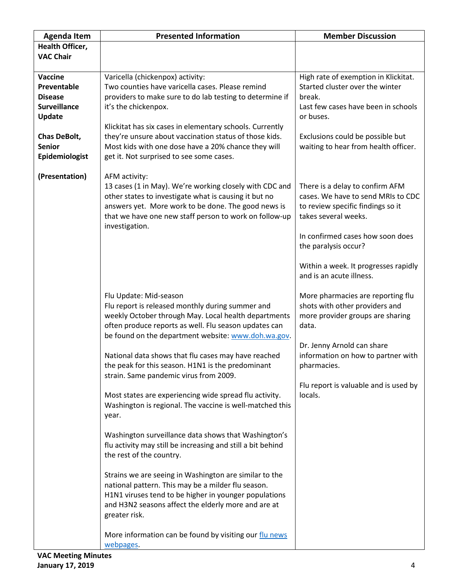| <b>Agenda Item</b>                                                                                                           | <b>Presented Information</b>                                                                                                                                                                                                                                                                                                                                                                                                                                                                                                                                                                                                                                                                                                                                                                                                                                                                                                                                                                                       | <b>Member Discussion</b>                                                                                                                                                                                                                                           |
|------------------------------------------------------------------------------------------------------------------------------|--------------------------------------------------------------------------------------------------------------------------------------------------------------------------------------------------------------------------------------------------------------------------------------------------------------------------------------------------------------------------------------------------------------------------------------------------------------------------------------------------------------------------------------------------------------------------------------------------------------------------------------------------------------------------------------------------------------------------------------------------------------------------------------------------------------------------------------------------------------------------------------------------------------------------------------------------------------------------------------------------------------------|--------------------------------------------------------------------------------------------------------------------------------------------------------------------------------------------------------------------------------------------------------------------|
| Health Officer,<br><b>VAC Chair</b>                                                                                          |                                                                                                                                                                                                                                                                                                                                                                                                                                                                                                                                                                                                                                                                                                                                                                                                                                                                                                                                                                                                                    |                                                                                                                                                                                                                                                                    |
| Vaccine<br>Preventable<br><b>Disease</b><br><b>Surveillance</b><br>Update<br>Chas DeBolt,<br><b>Senior</b><br>Epidemiologist | Varicella (chickenpox) activity:<br>Two counties have varicella cases. Please remind<br>providers to make sure to do lab testing to determine if<br>it's the chickenpox.<br>Klickitat has six cases in elementary schools. Currently<br>they're unsure about vaccination status of those kids.<br>Most kids with one dose have a 20% chance they will<br>get it. Not surprised to see some cases.                                                                                                                                                                                                                                                                                                                                                                                                                                                                                                                                                                                                                  | High rate of exemption in Klickitat.<br>Started cluster over the winter<br>break.<br>Last few cases have been in schools<br>or buses.<br>Exclusions could be possible but<br>waiting to hear from health officer.                                                  |
| (Presentation)                                                                                                               | AFM activity:<br>13 cases (1 in May). We're working closely with CDC and<br>other states to investigate what is causing it but no<br>answers yet. More work to be done. The good news is<br>that we have one new staff person to work on follow-up<br>investigation.                                                                                                                                                                                                                                                                                                                                                                                                                                                                                                                                                                                                                                                                                                                                               | There is a delay to confirm AFM<br>cases. We have to send MRIs to CDC<br>to review specific findings so it<br>takes several weeks.<br>In confirmed cases how soon does<br>the paralysis occur?<br>Within a week. It progresses rapidly<br>and is an acute illness. |
|                                                                                                                              | Flu Update: Mid-season<br>Flu report is released monthly during summer and<br>weekly October through May. Local health departments<br>often produce reports as well. Flu season updates can<br>be found on the department website: www.doh.wa.gov.<br>National data shows that flu cases may have reached<br>the peak for this season. H1N1 is the predominant<br>strain. Same pandemic virus from 2009.<br>Most states are experiencing wide spread flu activity.<br>Washington is regional. The vaccine is well-matched this<br>year.<br>Washington surveillance data shows that Washington's<br>flu activity may still be increasing and still a bit behind<br>the rest of the country.<br>Strains we are seeing in Washington are similar to the<br>national pattern. This may be a milder flu season.<br>H1N1 viruses tend to be higher in younger populations<br>and H3N2 seasons affect the elderly more and are at<br>greater risk.<br>More information can be found by visiting our flu news<br>webpages. | More pharmacies are reporting flu<br>shots with other providers and<br>more provider groups are sharing<br>data.<br>Dr. Jenny Arnold can share<br>information on how to partner with<br>pharmacies.<br>Flu report is valuable and is used by<br>locals.            |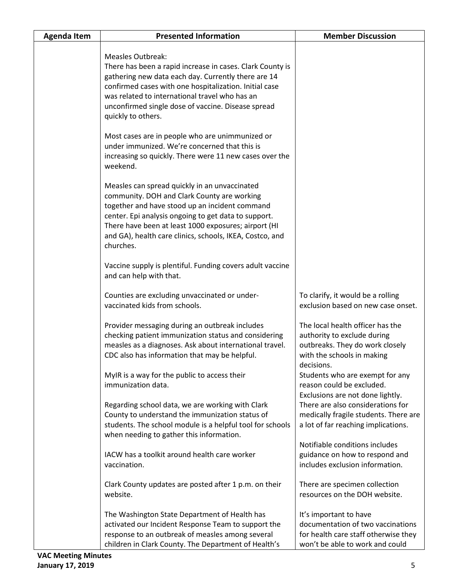| <b>Agenda Item</b> | <b>Presented Information</b>                                                                                                                                                                                                                                                                                                            | <b>Member Discussion</b>                                                                                                                            |
|--------------------|-----------------------------------------------------------------------------------------------------------------------------------------------------------------------------------------------------------------------------------------------------------------------------------------------------------------------------------------|-----------------------------------------------------------------------------------------------------------------------------------------------------|
|                    | <b>Measles Outbreak:</b><br>There has been a rapid increase in cases. Clark County is<br>gathering new data each day. Currently there are 14<br>confirmed cases with one hospitalization. Initial case<br>was related to international travel who has an<br>unconfirmed single dose of vaccine. Disease spread<br>quickly to others.    |                                                                                                                                                     |
|                    | Most cases are in people who are unimmunized or<br>under immunized. We're concerned that this is<br>increasing so quickly. There were 11 new cases over the<br>weekend.                                                                                                                                                                 |                                                                                                                                                     |
|                    | Measles can spread quickly in an unvaccinated<br>community. DOH and Clark County are working<br>together and have stood up an incident command<br>center. Epi analysis ongoing to get data to support.<br>There have been at least 1000 exposures; airport (HI<br>and GA), health care clinics, schools, IKEA, Costco, and<br>churches. |                                                                                                                                                     |
|                    | Vaccine supply is plentiful. Funding covers adult vaccine<br>and can help with that.                                                                                                                                                                                                                                                    |                                                                                                                                                     |
|                    | Counties are excluding unvaccinated or under-<br>vaccinated kids from schools.                                                                                                                                                                                                                                                          | To clarify, it would be a rolling<br>exclusion based on new case onset.                                                                             |
|                    | Provider messaging during an outbreak includes<br>checking patient immunization status and considering<br>measles as a diagnoses. Ask about international travel.<br>CDC also has information that may be helpful.                                                                                                                      | The local health officer has the<br>authority to exclude during<br>outbreaks. They do work closely<br>with the schools in making<br>decisions.      |
|                    | MyIR is a way for the public to access their<br>immunization data.                                                                                                                                                                                                                                                                      | Students who are exempt for any<br>reason could be excluded.<br>Exclusions are not done lightly.                                                    |
|                    | Regarding school data, we are working with Clark<br>County to understand the immunization status of<br>students. The school module is a helpful tool for schools<br>when needing to gather this information.                                                                                                                            | There are also considerations for<br>medically fragile students. There are<br>a lot of far reaching implications.<br>Notifiable conditions includes |
|                    | IACW has a toolkit around health care worker<br>vaccination.                                                                                                                                                                                                                                                                            | guidance on how to respond and<br>includes exclusion information.                                                                                   |
|                    | Clark County updates are posted after 1 p.m. on their<br>website.                                                                                                                                                                                                                                                                       | There are specimen collection<br>resources on the DOH website.                                                                                      |
|                    | The Washington State Department of Health has<br>activated our Incident Response Team to support the<br>response to an outbreak of measles among several<br>children in Clark County. The Department of Health's                                                                                                                        | It's important to have<br>documentation of two vaccinations<br>for health care staff otherwise they<br>won't be able to work and could              |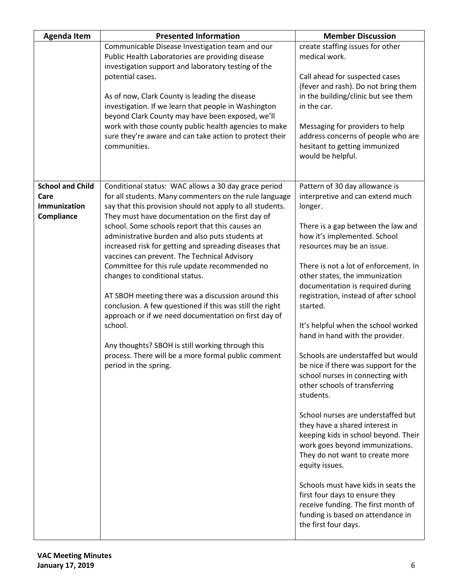| <b>Agenda Item</b>                                            | <b>Presented Information</b>                                                                                                                                                                                                                                                                                                                                                                                                                                                                                                                                                                                                                                                                                                                                                                                                                                | <b>Member Discussion</b>                                                                                                                                                                                                                                                                                                                                                                                                                                                                                                                                                                                                                                                                                                                                                                                                                                                                                                                                                             |
|---------------------------------------------------------------|-------------------------------------------------------------------------------------------------------------------------------------------------------------------------------------------------------------------------------------------------------------------------------------------------------------------------------------------------------------------------------------------------------------------------------------------------------------------------------------------------------------------------------------------------------------------------------------------------------------------------------------------------------------------------------------------------------------------------------------------------------------------------------------------------------------------------------------------------------------|--------------------------------------------------------------------------------------------------------------------------------------------------------------------------------------------------------------------------------------------------------------------------------------------------------------------------------------------------------------------------------------------------------------------------------------------------------------------------------------------------------------------------------------------------------------------------------------------------------------------------------------------------------------------------------------------------------------------------------------------------------------------------------------------------------------------------------------------------------------------------------------------------------------------------------------------------------------------------------------|
|                                                               | Communicable Disease Investigation team and our<br>Public Health Laboratories are providing disease<br>investigation support and laboratory testing of the<br>potential cases.<br>As of now, Clark County is leading the disease<br>investigation. If we learn that people in Washington<br>beyond Clark County may have been exposed, we'll<br>work with those county public health agencies to make<br>sure they're aware and can take action to protect their<br>communities.                                                                                                                                                                                                                                                                                                                                                                            | create staffing issues for other<br>medical work.<br>Call ahead for suspected cases<br>(fever and rash). Do not bring them<br>in the building/clinic but see them<br>in the car.<br>Messaging for providers to help<br>address concerns of people who are<br>hesitant to getting immunized<br>would be helpful.                                                                                                                                                                                                                                                                                                                                                                                                                                                                                                                                                                                                                                                                      |
| <b>School and Child</b><br>Care<br>Immunization<br>Compliance | Conditional status: WAC allows a 30 day grace period<br>for all students. Many commenters on the rule language<br>say that this provision should not apply to all students.<br>They must have documentation on the first day of<br>school. Some schools report that this causes an<br>administrative burden and also puts students at<br>increased risk for getting and spreading diseases that<br>vaccines can prevent. The Technical Advisory<br>Committee for this rule update recommended no<br>changes to conditional status.<br>AT SBOH meeting there was a discussion around this<br>conclusion. A few questioned if this was still the right<br>approach or if we need documentation on first day of<br>school.<br>Any thoughts? SBOH is still working through this<br>process. There will be a more formal public comment<br>period in the spring. | Pattern of 30 day allowance is<br>interpretive and can extend much<br>longer.<br>There is a gap between the law and<br>how it's implemented. School<br>resources may be an issue.<br>There is not a lot of enforcement. In<br>other states, the immunization<br>documentation is required during<br>registration, instead of after school<br>started.<br>It's helpful when the school worked<br>hand in hand with the provider.<br>Schools are understaffed but would<br>be nice if there was support for the<br>school nurses in connecting with<br>other schools of transferring<br>students.<br>School nurses are understaffed but<br>they have a shared interest in<br>keeping kids in school beyond. Their<br>work goes beyond immunizations.<br>They do not want to create more<br>equity issues.<br>Schools must have kids in seats the<br>first four days to ensure they<br>receive funding. The first month of<br>funding is based on attendance in<br>the first four days. |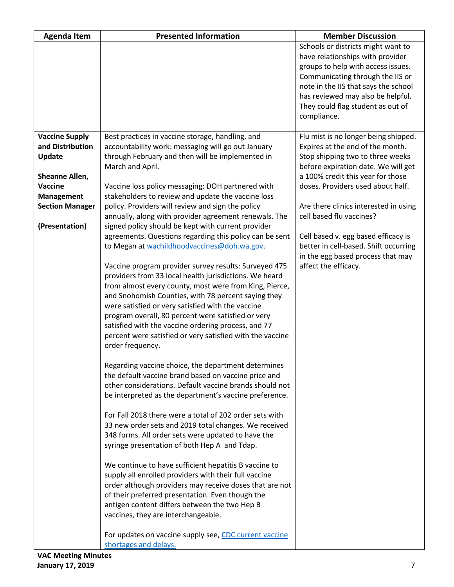| <b>Agenda Item</b>                                                                                                                                              | <b>Presented Information</b>                                                                                                                                                                                                                                                                                                                                                                                                                                                                                                                                                                                                                                                                                                                                                                                                                                                                                                                                                                                                                                                                                                                                                                                                                                                                                                                                                                                                                                                                                                                                                                                                                                                                                                                                                                                                                                                                                    | <b>Member Discussion</b>                                                                                                                                                                                                                                                                                                                                                                                                                        |
|-----------------------------------------------------------------------------------------------------------------------------------------------------------------|-----------------------------------------------------------------------------------------------------------------------------------------------------------------------------------------------------------------------------------------------------------------------------------------------------------------------------------------------------------------------------------------------------------------------------------------------------------------------------------------------------------------------------------------------------------------------------------------------------------------------------------------------------------------------------------------------------------------------------------------------------------------------------------------------------------------------------------------------------------------------------------------------------------------------------------------------------------------------------------------------------------------------------------------------------------------------------------------------------------------------------------------------------------------------------------------------------------------------------------------------------------------------------------------------------------------------------------------------------------------------------------------------------------------------------------------------------------------------------------------------------------------------------------------------------------------------------------------------------------------------------------------------------------------------------------------------------------------------------------------------------------------------------------------------------------------------------------------------------------------------------------------------------------------|-------------------------------------------------------------------------------------------------------------------------------------------------------------------------------------------------------------------------------------------------------------------------------------------------------------------------------------------------------------------------------------------------------------------------------------------------|
|                                                                                                                                                                 |                                                                                                                                                                                                                                                                                                                                                                                                                                                                                                                                                                                                                                                                                                                                                                                                                                                                                                                                                                                                                                                                                                                                                                                                                                                                                                                                                                                                                                                                                                                                                                                                                                                                                                                                                                                                                                                                                                                 | Schools or districts might want to<br>have relationships with provider<br>groups to help with access issues.<br>Communicating through the IIS or<br>note in the IIS that says the school<br>has reviewed may also be helpful.<br>They could flag student as out of<br>compliance.                                                                                                                                                               |
| <b>Vaccine Supply</b><br>and Distribution<br><b>Update</b><br>Sheanne Allen,<br><b>Vaccine</b><br><b>Management</b><br><b>Section Manager</b><br>(Presentation) | Best practices in vaccine storage, handling, and<br>accountability work: messaging will go out January<br>through February and then will be implemented in<br>March and April.<br>Vaccine loss policy messaging: DOH partnered with<br>stakeholders to review and update the vaccine loss<br>policy. Providers will review and sign the policy<br>annually, along with provider agreement renewals. The<br>signed policy should be kept with current provider<br>agreements. Questions regarding this policy can be sent<br>to Megan at wachildhoodvaccines@doh.wa.gov.<br>Vaccine program provider survey results: Surveyed 475<br>providers from 33 local health jurisdictions. We heard<br>from almost every county, most were from King, Pierce,<br>and Snohomish Counties, with 78 percent saying they<br>were satisfied or very satisfied with the vaccine<br>program overall, 80 percent were satisfied or very<br>satisfied with the vaccine ordering process, and 77<br>percent were satisfied or very satisfied with the vaccine<br>order frequency.<br>Regarding vaccine choice, the department determines<br>the default vaccine brand based on vaccine price and<br>other considerations. Default vaccine brands should not<br>be interpreted as the department's vaccine preference.<br>For Fall 2018 there were a total of 202 order sets with<br>33 new order sets and 2019 total changes. We received<br>348 forms. All order sets were updated to have the<br>syringe presentation of both Hep A and Tdap.<br>We continue to have sufficient hepatitis B vaccine to<br>supply all enrolled providers with their full vaccine<br>order although providers may receive doses that are not<br>of their preferred presentation. Even though the<br>antigen content differs between the two Hep B<br>vaccines, they are interchangeable.<br>For updates on vaccine supply see, CDC current vaccine | Flu mist is no longer being shipped.<br>Expires at the end of the month.<br>Stop shipping two to three weeks<br>before expiration date. We will get<br>a 100% credit this year for those<br>doses. Providers used about half.<br>Are there clinics interested in using<br>cell based flu vaccines?<br>Cell based v. egg based efficacy is<br>better in cell-based. Shift occurring<br>in the egg based process that may<br>affect the efficacy. |
|                                                                                                                                                                 | shortages and delays.                                                                                                                                                                                                                                                                                                                                                                                                                                                                                                                                                                                                                                                                                                                                                                                                                                                                                                                                                                                                                                                                                                                                                                                                                                                                                                                                                                                                                                                                                                                                                                                                                                                                                                                                                                                                                                                                                           |                                                                                                                                                                                                                                                                                                                                                                                                                                                 |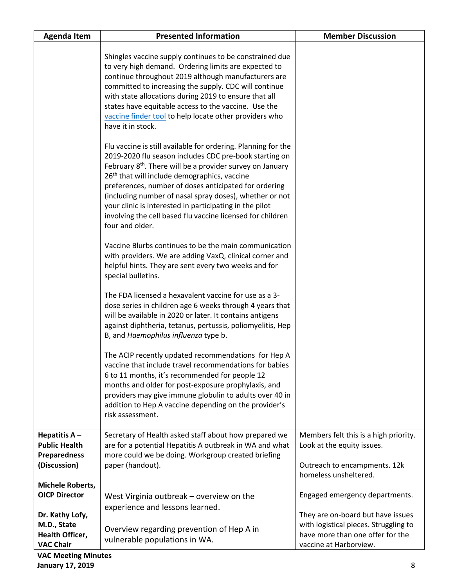| <b>Agenda Item</b>                                                             | <b>Presented Information</b>                                                                                                                                                                                                                                                                                                                                                                                                                                                                                                 | <b>Member Discussion</b>                                                                                                     |
|--------------------------------------------------------------------------------|------------------------------------------------------------------------------------------------------------------------------------------------------------------------------------------------------------------------------------------------------------------------------------------------------------------------------------------------------------------------------------------------------------------------------------------------------------------------------------------------------------------------------|------------------------------------------------------------------------------------------------------------------------------|
|                                                                                | Shingles vaccine supply continues to be constrained due<br>to very high demand. Ordering limits are expected to<br>continue throughout 2019 although manufacturers are<br>committed to increasing the supply. CDC will continue<br>with state allocations during 2019 to ensure that all<br>states have equitable access to the vaccine. Use the<br>vaccine finder tool to help locate other providers who<br>have it in stock.                                                                                              |                                                                                                                              |
|                                                                                | Flu vaccine is still available for ordering. Planning for the<br>2019-2020 flu season includes CDC pre-book starting on<br>February 8 <sup>th</sup> . There will be a provider survey on January<br>26 <sup>th</sup> that will include demographics, vaccine<br>preferences, number of doses anticipated for ordering<br>(including number of nasal spray doses), whether or not<br>your clinic is interested in participating in the pilot<br>involving the cell based flu vaccine licensed for children<br>four and older. |                                                                                                                              |
|                                                                                | Vaccine Blurbs continues to be the main communication<br>with providers. We are adding VaxQ, clinical corner and<br>helpful hints. They are sent every two weeks and for<br>special bulletins.                                                                                                                                                                                                                                                                                                                               |                                                                                                                              |
|                                                                                | The FDA licensed a hexavalent vaccine for use as a 3-<br>dose series in children age 6 weeks through 4 years that<br>will be available in 2020 or later. It contains antigens<br>against diphtheria, tetanus, pertussis, poliomyelitis, Hep<br>B, and Haemophilus influenza type b.                                                                                                                                                                                                                                          |                                                                                                                              |
|                                                                                | The ACIP recently updated recommendations for Hep A<br>vaccine that include travel recommendations for babies<br>6 to 11 months, it's recommended for people 12<br>months and older for post-exposure prophylaxis, and<br>providers may give immune globulin to adults over 40 in<br>addition to Hep A vaccine depending on the provider's<br>risk assessment.                                                                                                                                                               |                                                                                                                              |
| Hepatitis $A -$<br><b>Public Health</b><br><b>Preparedness</b><br>(Discussion) | Secretary of Health asked staff about how prepared we<br>are for a potential Hepatitis A outbreak in WA and what<br>more could we be doing. Workgroup created briefing<br>paper (handout).                                                                                                                                                                                                                                                                                                                                   | Members felt this is a high priority.<br>Look at the equity issues.<br>Outreach to encampments. 12k<br>homeless unsheltered. |
| Michele Roberts,<br><b>OICP Director</b><br>Dr. Kathy Lofy,                    | West Virginia outbreak – overview on the<br>experience and lessons learned.                                                                                                                                                                                                                                                                                                                                                                                                                                                  | Engaged emergency departments.<br>They are on-board but have issues                                                          |
| M.D., State<br>Health Officer,<br><b>VAC Chair</b>                             | Overview regarding prevention of Hep A in<br>vulnerable populations in WA.                                                                                                                                                                                                                                                                                                                                                                                                                                                   | with logistical pieces. Struggling to<br>have more than one offer for the<br>vaccine at Harborview.                          |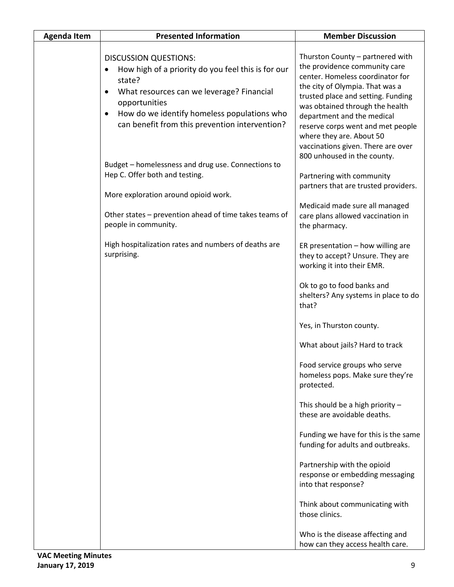| <b>Agenda Item</b> | <b>Presented Information</b>                                                                                                                                                                                                                                                          | <b>Member Discussion</b>                                                                                                                                                                                                                                                                                                                                                                                                                                                                                                                                                                                                         |
|--------------------|---------------------------------------------------------------------------------------------------------------------------------------------------------------------------------------------------------------------------------------------------------------------------------------|----------------------------------------------------------------------------------------------------------------------------------------------------------------------------------------------------------------------------------------------------------------------------------------------------------------------------------------------------------------------------------------------------------------------------------------------------------------------------------------------------------------------------------------------------------------------------------------------------------------------------------|
|                    | <b>DISCUSSION QUESTIONS:</b><br>How high of a priority do you feel this is for our<br>state?<br>What resources can we leverage? Financial<br>$\bullet$<br>opportunities<br>How do we identify homeless populations who<br>$\bullet$<br>can benefit from this prevention intervention? | Thurston County - partnered with<br>the providence community care<br>center. Homeless coordinator for<br>the city of Olympia. That was a<br>trusted place and setting. Funding<br>was obtained through the health<br>department and the medical<br>reserve corps went and met people<br>where they are. About 50<br>vaccinations given. There are over<br>800 unhoused in the county.                                                                                                                                                                                                                                            |
|                    | Budget - homelessness and drug use. Connections to<br>Hep C. Offer both and testing.<br>More exploration around opioid work.<br>Other states - prevention ahead of time takes teams of                                                                                                | Partnering with community<br>partners that are trusted providers.<br>Medicaid made sure all managed<br>care plans allowed vaccination in                                                                                                                                                                                                                                                                                                                                                                                                                                                                                         |
|                    | people in community.<br>High hospitalization rates and numbers of deaths are<br>surprising.                                                                                                                                                                                           | the pharmacy.<br>ER presentation - how willing are<br>they to accept? Unsure. They are<br>working it into their EMR.<br>Ok to go to food banks and<br>shelters? Any systems in place to do<br>that?<br>Yes, in Thurston county.<br>What about jails? Hard to track<br>Food service groups who serve<br>homeless pops. Make sure they're<br>protected.<br>This should be a high priority -<br>these are avoidable deaths.<br>Funding we have for this is the same<br>funding for adults and outbreaks.<br>Partnership with the opioid<br>response or embedding messaging<br>into that response?<br>Think about communicating with |
|                    |                                                                                                                                                                                                                                                                                       | those clinics.<br>Who is the disease affecting and<br>how can they access health care.                                                                                                                                                                                                                                                                                                                                                                                                                                                                                                                                           |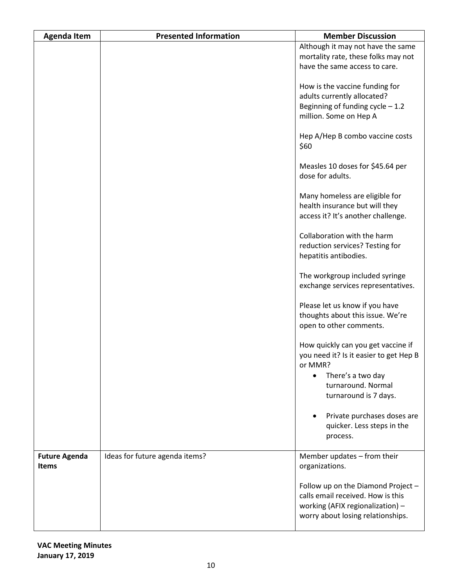| <b>Agenda Item</b>   | <b>Presented Information</b>   | <b>Member Discussion</b>                                                 |
|----------------------|--------------------------------|--------------------------------------------------------------------------|
|                      |                                | Although it may not have the same<br>mortality rate, these folks may not |
|                      |                                | have the same access to care.                                            |
|                      |                                | How is the vaccine funding for                                           |
|                      |                                | adults currently allocated?                                              |
|                      |                                | Beginning of funding cycle $-1.2$                                        |
|                      |                                | million. Some on Hep A                                                   |
|                      |                                | Hep A/Hep B combo vaccine costs                                          |
|                      |                                | \$60                                                                     |
|                      |                                | Measles 10 doses for \$45.64 per                                         |
|                      |                                | dose for adults.                                                         |
|                      |                                | Many homeless are eligible for                                           |
|                      |                                | health insurance but will they<br>access it? It's another challenge.     |
|                      |                                |                                                                          |
|                      |                                | Collaboration with the harm                                              |
|                      |                                | reduction services? Testing for<br>hepatitis antibodies.                 |
|                      |                                |                                                                          |
|                      |                                | The workgroup included syringe                                           |
|                      |                                | exchange services representatives.                                       |
|                      |                                | Please let us know if you have                                           |
|                      |                                | thoughts about this issue. We're                                         |
|                      |                                | open to other comments.                                                  |
|                      |                                | How quickly can you get vaccine if                                       |
|                      |                                | you need it? Is it easier to get Hep B<br>or MMR?                        |
|                      |                                | There's a two day<br>$\bullet$                                           |
|                      |                                | turnaround. Normal                                                       |
|                      |                                | turnaround is 7 days.                                                    |
|                      |                                | Private purchases doses are                                              |
|                      |                                | quicker. Less steps in the                                               |
|                      |                                | process.                                                                 |
| <b>Future Agenda</b> | Ideas for future agenda items? | Member updates - from their                                              |
| <b>Items</b>         |                                | organizations.                                                           |
|                      |                                | Follow up on the Diamond Project -                                       |
|                      |                                | calls email received. How is this                                        |
|                      |                                | working (AFIX regionalization) -                                         |
|                      |                                | worry about losing relationships.                                        |